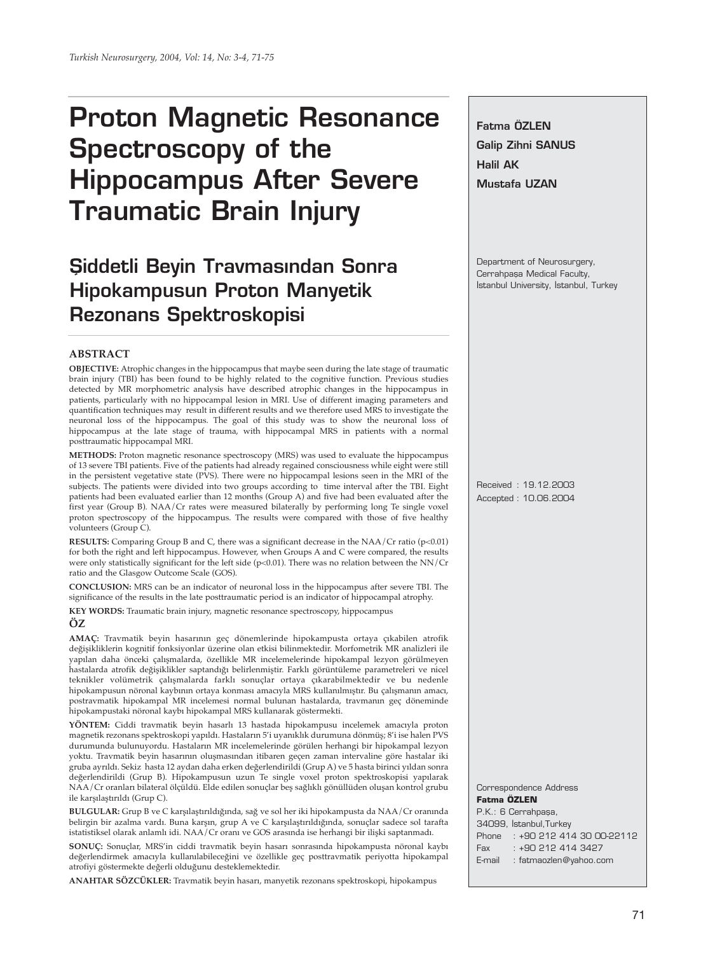# **Proton Magnetic Resonance Spectroscopy of the Hippocampus After Severe Traumatic Brain Injury**

# **Siddetli Beyin Travmasından Sonra Hipokampusun Proton Manyetik Rezonans Spektroskopisi**

#### **ABSTRACT**

**OBJECTIVE:** Atrophic changes in the hippocampus that maybe seen during the late stage of traumatic brain injury (TBI) has been found to be highly related to the cognitive function. Previous studies detected by MR morphometric analysis have described atrophic changes in the hippocampus in patients, particularly with no hippocampal lesion in MRI. Use of different imaging parameters and quantification techniques may result in different results and we therefore used MRS to investigate the neuronal loss of the hippocampus. The goal of this study was to show the neuronal loss of hippocampus at the late stage of trauma, with hippocampal MRS in patients with a normal posttraumatic hippocampal MRI.

**METHODS:** Proton magnetic resonance spectroscopy (MRS) was used to evaluate the hippocampus of 13 severe TBI patients. Five of the patients had already regained consciousness while eight were still in the persistent vegetative state (PVS). There were no hippocampal lesions seen in the MRI of the subjects. The patients were divided into two groups according to time interval after the TBI. Eight patients had been evaluated earlier than 12 months (Group A) and five had been evaluated after the first year (Group B). NAA/Cr rates were measured bilaterally by performing long Te single voxel proton spectroscopy of the hippocampus. The results were compared with those of five healthy volunteers (Group C).

**RESULTS:** Comparing Group B and C, there was a significant decrease in the NAA/Cr ratio (p<0.01) for both the right and left hippocampus. However, when Groups A and C were compared, the results were only statistically significant for the left side (p<0.01). There was no relation between the NN/Cr ratio and the Glasgow Outcome Scale (GOS).

**CONCLUSION:** MRS can be an indicator of neuronal loss in the hippocampus after severe TBI. The significance of the results in the late posttraumatic period is an indicator of hippocampal atrophy.

**KEY WORDS:** Traumatic brain injury, magnetic resonance spectroscopy, hippocampus

### **ÖZ**

**AMAÇ:** Travmatik beyin hasarının geç dönemlerinde hipokampusta ortaya çıkabilen atrofik değişikliklerin kognitif fonksiyonlar üzerine olan etkisi bilinmektedir. Morfometrik MR analizleri ile yapılan daha önceki çalışmalarda, özellikle MR incelemelerinde hipokampal lezyon görülmeyen hastalarda atrofik değişiklikler saptandığı belirlenmiştir. Farklı görüntüleme parametreleri ve nicel teknikler volümetrik çalışmalarda farklı sonuçlar ortaya çıkarabilmektedir ve bu nedenle hipokampusun nöronal kaybının ortaya konması amacıyla MRS kullanılmıştır. Bu çalışmanın amacı, postravmatik hipokampal MR incelemesi normal bulunan hastalarda, travmanın geç döneminde hipokampustaki nöronal kaybı hipokampal MRS kullanarak göstermekti.

**YÖNTEM:** Ciddi travmatik beyin hasarlı 13 hastada hipokampusu incelemek amacıyla proton magnetik rezonans spektroskopi yapıldı. Hastaların 5'i uyanıklık durumuna dönmüş; 8'i ise halen PVS durumunda bulunuyordu. Hastaların MR incelemelerinde görülen herhangi bir hipokampal lezyon yoktu. Travmatik beyin hasarının oluşmasından itibaren geçen zaman intervaline göre hastalar iki gruba ayrıldı. Sekiz hasta 12 aydan daha erken değerlendirildi (Grup A) ve 5 hasta birinci yıldan sonra değerlendirildi (Grup B). Hipokampusun uzun Te single voxel proton spektroskopisi yapılarak NAA/Cr oranları bilateral ölçüldü. Elde edilen sonuçlar beş sağlıklı gönüllüden oluşan kontrol grubu ile karşılaştırıldı (Grup C).

**BULGULAR:** Grup B ve C karşılaştırıldığında, sağ ve sol her iki hipokampusta da NAA/Cr oranında belirgin bir azalma vardı. Buna karşın, grup A ve C karşılaştırıldığında, sonuçlar sadece sol tarafta istatistiksel olarak anlamlı idi. NAA/Cr oranı ve GOS arasında ise herhangi bir ilişki saptanmadı.

**SONUÇ:** Sonuçlar, MRS'in ciddi travmatik beyin hasarı sonrasında hipokampusta nöronal kaybı değerlendirmek amacıyla kullanılabileceğini ve özellikle geç posttravmatik periyotta hipokampal atrofiyi göstermekte değerli olduğunu desteklemektedir.

**ANAHTAR SÖZCÜKLER:** Travmatik beyin hasarı, manyetik rezonans spektroskopi, hipokampus

**Fatma ÖZLEN Galip Zihni SANUS Halil AK Mustafa UZAN**

Department of Neurosurgery, Cerrahpasa Medical Faculty, Istanbul University, Istanbul, Turkey

Received : 19.12.2003 Accepted : 10.06.2004

#### Correspondence Address **Fatma ÖZLEN**

P.K.: 6 Cerrahpaşa, 34099, Istanbul, Turkey Phone : +90 212 414 30 00-22112 Fax : +90 212 414 3427 E-mail : fatmaozlen@yahoo.com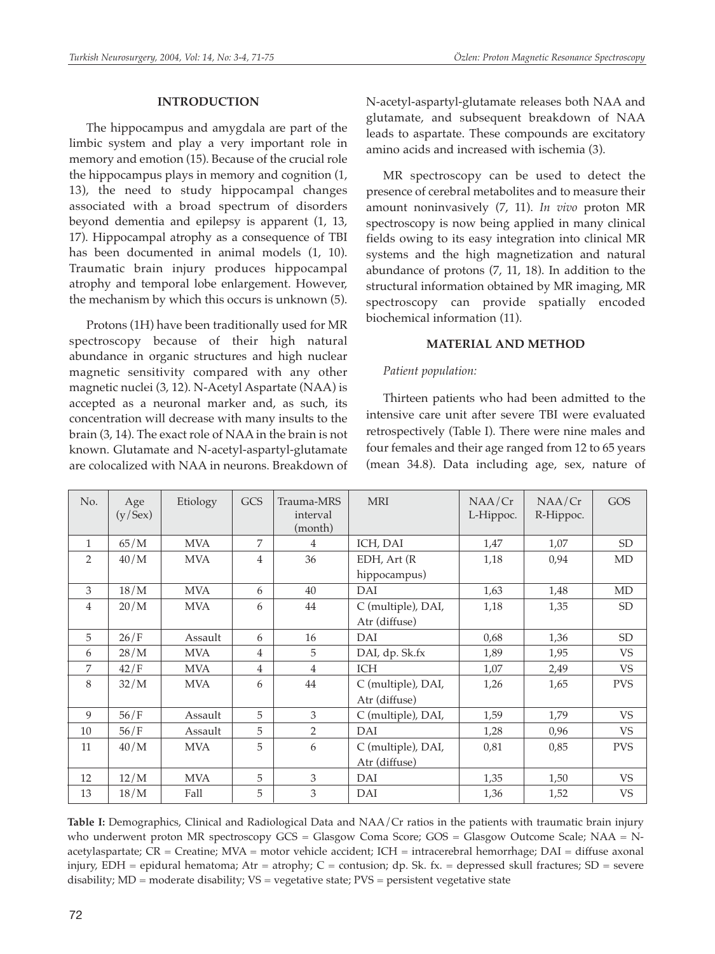# **INTRODUCTION**

The hippocampus and amygdala are part of the limbic system and play a very important role in memory and emotion (15). Because of the crucial role the hippocampus plays in memory and cognition (1, 13), the need to study hippocampal changes associated with a broad spectrum of disorders beyond dementia and epilepsy is apparent (1, 13, 17). Hippocampal atrophy as a consequence of TBI has been documented in animal models (1, 10). Traumatic brain injury produces hippocampal atrophy and temporal lobe enlargement. However, the mechanism by which this occurs is unknown (5).

Protons (1H) have been traditionally used for MR spectroscopy because of their high natural abundance in organic structures and high nuclear magnetic sensitivity compared with any other magnetic nuclei (3, 12). N-Acetyl Aspartate (NAA) is accepted as a neuronal marker and, as such, its concentration will decrease with many insults to the brain (3, 14). The exact role of NAA in the brain is not known. Glutamate and N-acetyl-aspartyl-glutamate are colocalized with NAA in neurons. Breakdown of N-acetyl-aspartyl-glutamate releases both NAA and glutamate, and subsequent breakdown of NAA leads to aspartate. These compounds are excitatory amino acids and increased with ischemia (3).

MR spectroscopy can be used to detect the presence of cerebral metabolites and to measure their amount noninvasively (7, 11). *In vivo* proton MR spectroscopy is now being applied in many clinical fields owing to its easy integration into clinical MR systems and the high magnetization and natural abundance of protons (7, 11, 18). In addition to the structural information obtained by MR imaging, MR spectroscopy can provide spatially encoded biochemical information (11).

# **MATERIAL AND METHOD**

# *Patient population:*

Thirteen patients who had been admitted to the intensive care unit after severe TBI were evaluated retrospectively (Table I). There were nine males and four females and their age ranged from 12 to 65 years (mean 34.8). Data including age, sex, nature of

| No.            | Age<br>(y/Sex) | Etiology   | GCS            | Trauma-MRS<br>interval<br>(month) | <b>MRI</b>         | NAA/Cr<br>L-Hippoc. | NAA/Cr<br>R-Hippoc. | <b>GOS</b> |
|----------------|----------------|------------|----------------|-----------------------------------|--------------------|---------------------|---------------------|------------|
| $\mathbf{1}$   | 65/M           | <b>MVA</b> | 7              | $\overline{4}$                    | ICH, DAI           | 1,47                | 1,07                | <b>SD</b>  |
| $\overline{2}$ | 40/M           | <b>MVA</b> | $\overline{4}$ | 36                                | $EDH$ , Art $(R)$  | 1,18                | 0,94                | MD         |
|                |                |            |                |                                   | hippocampus)       |                     |                     |            |
| 3              | 18/M           | <b>MVA</b> | 6              | 40                                | DAI                | 1,63                | 1,48                | MD         |
| 4              | 20/M           | <b>MVA</b> | 6              | 44                                | C (multiple), DAI, | 1,18                | 1,35                | SD         |
|                |                |            |                |                                   | Atr (diffuse)      |                     |                     |            |
| 5              | 26/F           | Assault    | 6              | 16                                | DAI                | 0,68                | 1,36                | SD         |
| 6              | 28/M           | <b>MVA</b> | 4              | 5                                 | DAI, dp. Sk.fx     | 1,89                | 1,95                | VS.        |
| 7              | 42/F           | <b>MVA</b> | $\overline{4}$ | $\overline{4}$                    | <b>ICH</b>         | 1,07                | 2,49                | <b>VS</b>  |
| 8              | 32/M           | <b>MVA</b> | 6              | 44                                | C (multiple), DAI, | 1,26                | 1,65                | <b>PVS</b> |
|                |                |            |                |                                   | Atr (diffuse)      |                     |                     |            |
| 9              | 56/F           | Assault    | 5              | 3                                 | C (multiple), DAI, | 1,59                | 1,79                | VS         |
| 10             | 56/F           | Assault    | 5              | 2                                 | DAI                | 1,28                | 0,96                | <b>VS</b>  |
| 11             | 40/M           | <b>MVA</b> | 5              | 6                                 | C (multiple), DAI, | 0,81                | 0,85                | <b>PVS</b> |
|                |                |            |                |                                   | Atr (diffuse)      |                     |                     |            |
| 12             | 12/M           | <b>MVA</b> | 5              | 3                                 | DAI                | 1,35                | 1,50                | <b>VS</b>  |
| 13             | 18/M           | Fall       | 5              | 3                                 | DAI                | 1,36                | 1,52                | <b>VS</b>  |

**Table I:** Demographics, Clinical and Radiological Data and NAA/Cr ratios in the patients with traumatic brain injury who underwent proton MR spectroscopy GCS = Glasgow Coma Score; GOS = Glasgow Outcome Scale; NAA = Nacetylaspartate; CR = Creatine; MVA = motor vehicle accident; ICH = intracerebral hemorrhage; DAI = diffuse axonal injury, EDH = epidural hematoma; Atr = atrophy; C = contusion; dp. Sk. fx. = depressed skull fractures; SD = severe disability; MD = moderate disability; VS = vegetative state; PVS = persistent vegetative state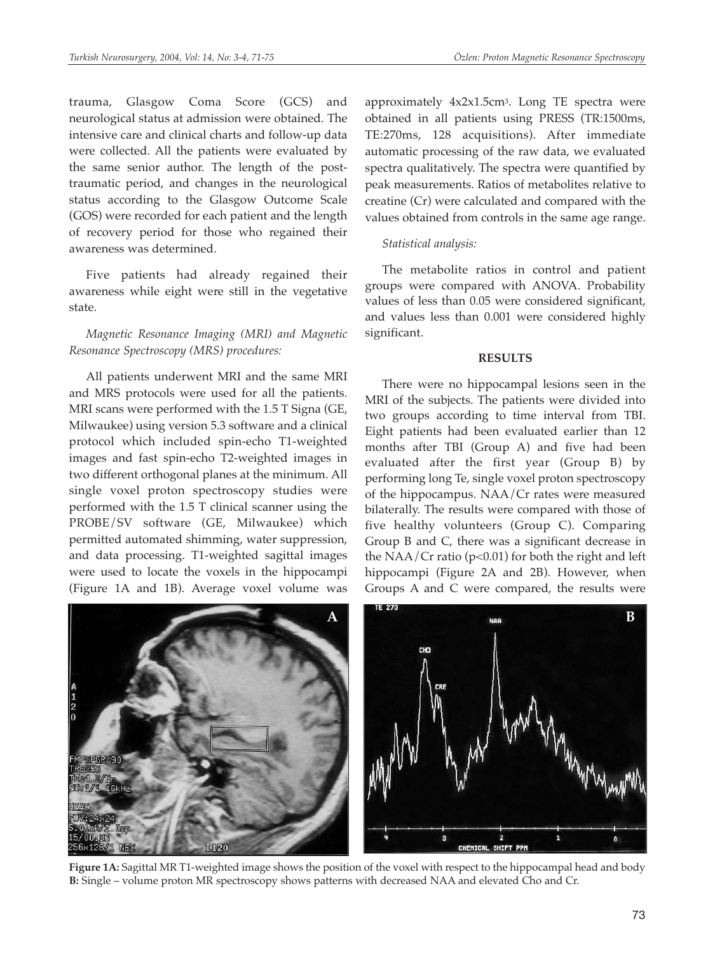trauma, Glasgow Coma Score (GCS) and neurological status at admission were obtained. The intensive care and clinical charts and follow-up data were collected. All the patients were evaluated by the same senior author. The length of the posttraumatic period, and changes in the neurological status according to the Glasgow Outcome Scale (GOS) were recorded for each patient and the length of recovery period for those who regained their awareness was determined.

Five patients had already regained their awareness while eight were still in the vegetative state.

*Magnetic Resonance Imaging (MRI) and Magnetic Resonance Spectroscopy (MRS) procedures:*

All patients underwent MRI and the same MRI and MRS protocols were used for all the patients. MRI scans were performed with the 1.5 T Signa (GE, Milwaukee) using version 5.3 software and a clinical protocol which included spin-echo T1-weighted images and fast spin-echo T2-weighted images in two different orthogonal planes at the minimum. All single voxel proton spectroscopy studies were performed with the 1.5 T clinical scanner using the PROBE/SV software (GE, Milwaukee) which permitted automated shimming, water suppression, and data processing. T1-weighted sagittal images were used to locate the voxels in the hippocampi (Figure 1A and 1B). Average voxel volume was

approximately 4x2x1.5cm3. Long TE spectra were obtained in all patients using PRESS (TR:1500ms, TE:270ms, 128 acquisitions). After immediate automatic processing of the raw data, we evaluated spectra qualitatively. The spectra were quantified by peak measurements. Ratios of metabolites relative to creatine (Cr) were calculated and compared with the values obtained from controls in the same age range.

# *Statistical analysis:*

The metabolite ratios in control and patient groups were compared with ANOVA. Probability values of less than 0.05 were considered significant, and values less than 0.001 were considered highly significant.

## **RESULTS**

There were no hippocampal lesions seen in the MRI of the subjects. The patients were divided into two groups according to time interval from TBI. Eight patients had been evaluated earlier than 12 months after TBI (Group A) and five had been evaluated after the first year (Group B) by performing long Te, single voxel proton spectroscopy of the hippocampus. NAA/Cr rates were measured bilaterally. The results were compared with those of five healthy volunteers (Group C). Comparing Group B and C, there was a significant decrease in the NAA/Cr ratio ( $p<0.01$ ) for both the right and left hippocampi (Figure 2A and 2B). However, when Groups A and C were compared, the results were



**Figure 1A:** Sagittal MR T1-weighted image shows the position of the voxel with respect to the hippocampal head and body **B:** Single – volume proton MR spectroscopy shows patterns with decreased NAA and elevated Cho and Cr.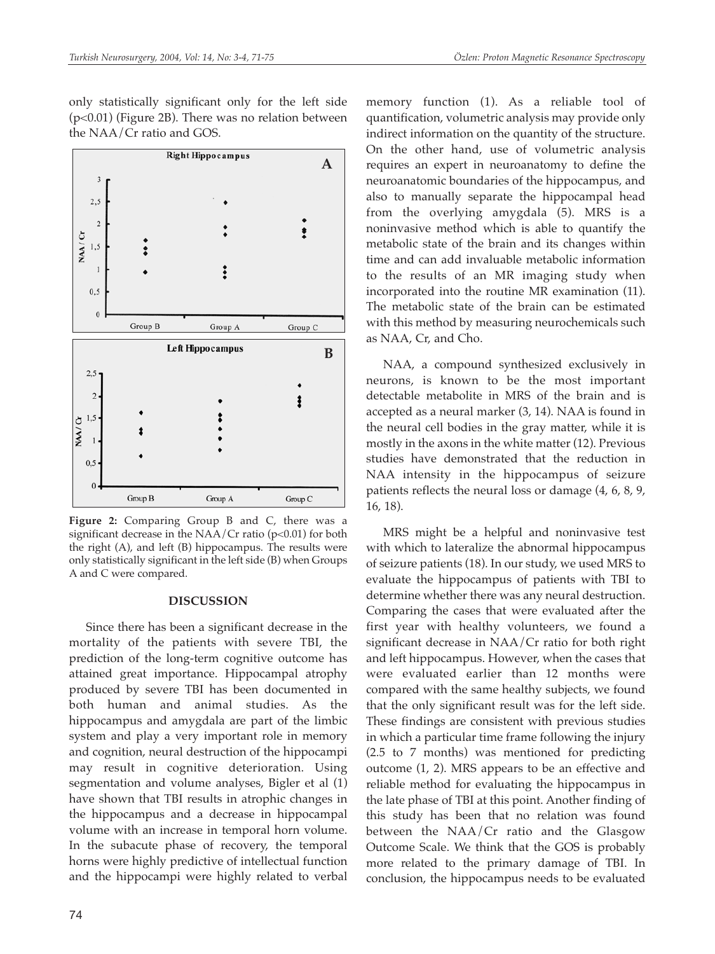only statistically significant only for the left side (p<0.01) (Figure 2B). There was no relation between the NAA/Cr ratio and GOS.



**Figure 2:** Comparing Group B and C, there was a significant decrease in the  $NAA/Cr$  ratio (p<0.01) for both the right (A), and left (B) hippocampus. The results were only statistically significant in the left side (B) when Groups A and C were compared.

#### **DISCUSSION**

Since there has been a significant decrease in the mortality of the patients with severe TBI, the prediction of the long-term cognitive outcome has attained great importance. Hippocampal atrophy produced by severe TBI has been documented in both human and animal studies. As the hippocampus and amygdala are part of the limbic system and play a very important role in memory and cognition, neural destruction of the hippocampi may result in cognitive deterioration. Using segmentation and volume analyses, Bigler et al (1) have shown that TBI results in atrophic changes in the hippocampus and a decrease in hippocampal volume with an increase in temporal horn volume. In the subacute phase of recovery, the temporal horns were highly predictive of intellectual function and the hippocampi were highly related to verbal

memory function (1). As a reliable tool of quantification, volumetric analysis may provide only indirect information on the quantity of the structure. On the other hand, use of volumetric analysis requires an expert in neuroanatomy to define the neuroanatomic boundaries of the hippocampus, and also to manually separate the hippocampal head from the overlying amygdala (5). MRS is a noninvasive method which is able to quantify the metabolic state of the brain and its changes within time and can add invaluable metabolic information to the results of an MR imaging study when incorporated into the routine MR examination (11). The metabolic state of the brain can be estimated with this method by measuring neurochemicals such as NAA, Cr, and Cho.

NAA, a compound synthesized exclusively in neurons, is known to be the most important detectable metabolite in MRS of the brain and is accepted as a neural marker (3, 14). NAA is found in the neural cell bodies in the gray matter, while it is mostly in the axons in the white matter (12). Previous studies have demonstrated that the reduction in NAA intensity in the hippocampus of seizure patients reflects the neural loss or damage (4, 6, 8, 9, 16, 18).

MRS might be a helpful and noninvasive test with which to lateralize the abnormal hippocampus of seizure patients (18). In our study, we used MRS to evaluate the hippocampus of patients with TBI to determine whether there was any neural destruction. Comparing the cases that were evaluated after the first year with healthy volunteers, we found a significant decrease in NAA/Cr ratio for both right and left hippocampus. However, when the cases that were evaluated earlier than 12 months were compared with the same healthy subjects, we found that the only significant result was for the left side. These findings are consistent with previous studies in which a particular time frame following the injury (2.5 to 7 months) was mentioned for predicting outcome (1, 2). MRS appears to be an effective and reliable method for evaluating the hippocampus in the late phase of TBI at this point. Another finding of this study has been that no relation was found between the NAA/Cr ratio and the Glasgow Outcome Scale. We think that the GOS is probably more related to the primary damage of TBI. In conclusion, the hippocampus needs to be evaluated